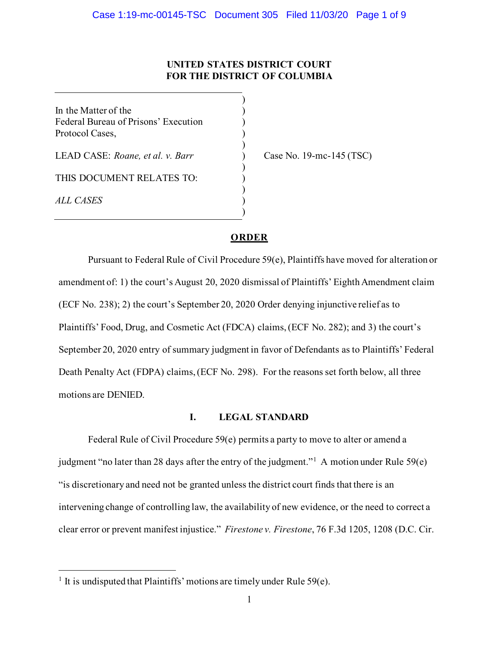# **UNITED STATES DISTRICT COURT FOR THE DISTRICT OF COLUMBIA**

 $\lambda$ 

)

)

)

)

In the Matter of the  $($ Federal Bureau of Prisons' Execution ) Protocol Cases, )

LEAD CASE: *Roane, et al. v. Barr* ) Case No. 19-mc-145 (TSC)

THIS DOCUMENT RELATES TO:

*ALL CASES* )

# **ORDER**

Pursuant to Federal Rule of Civil Procedure 59(e), Plaintiffs have moved for alteration or amendment of: 1) the court's August 20, 2020 dismissal of Plaintiffs' Eighth Amendment claim (ECF No. 238); 2) the court's September 20, 2020 Order denying injunctive relief as to Plaintiffs' Food, Drug, and Cosmetic Act (FDCA) claims,(ECF No. 282); and 3) the court's September 20, 2020 entry of summary judgment in favor of Defendants as to Plaintiffs' Federal Death Penalty Act (FDPA) claims, (ECF No. 298). For the reasons set forth below, all three motions are DENIED.

## **I. LEGAL STANDARD**

Federal Rule of Civil Procedure 59(e) permits a party to move to alter or amend a judgment "no later than 28 days after the entry of the judgment."[1](#page-0-0) A motion under Rule 59(e) "is discretionary and need not be granted unless the district court finds that there is an intervening change of controlling law, the availability of new evidence, or the need to correct a clear error or prevent manifest injustice." *Firestone v. Firestone*, 76 F.3d 1205, 1208 (D.C. Cir.

<span id="page-0-0"></span><sup>&</sup>lt;sup>1</sup> It is undisputed that Plaintiffs' motions are timely under Rule 59 $(e)$ .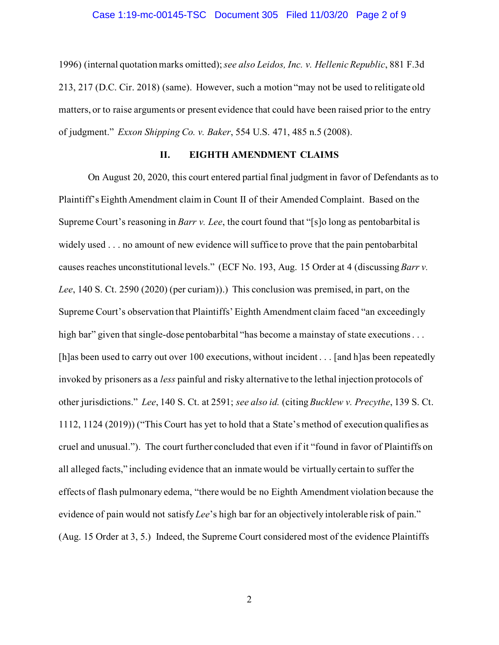#### Case 1:19-mc-00145-TSC Document 305 Filed 11/03/20 Page 2 of 9

1996) (internal quotation marks omitted); *see also Leidos, Inc. v. Hellenic Republic*, 881 F.3d 213, 217 (D.C. Cir. 2018) (same). However, such a motion "may not be used to relitigate old matters, or to raise arguments or present evidence that could have been raised prior to the entry of judgment." *Exxon Shipping Co. v. Baker*, 554 U.S. 471, 485 n.5 (2008).

## **II. EIGHTH AMENDMENT CLAIMS**

On August 20, 2020, this court entered partial final judgment in favor of Defendants as to Plaintiff's Eighth Amendment claim in Count II of their Amended Complaint. Based on the Supreme Court's reasoning in *Barr v. Lee*, the court found that "[s]o long as pentobarbital is widely used . . . no amount of new evidence will suffice to prove that the pain pentobarbital causes reaches unconstitutional levels." (ECF No. 193, Aug. 15 Order at 4 (discussing*Barr v. Lee*, 140 S. Ct. 2590 (2020) (per curiam)).) This conclusion was premised, in part, on the Supreme Court's observation that Plaintiffs' Eighth Amendment claim faced "an exceedingly high bar" given that single-dose pentobarbital "has become a mainstay of state executions . . . [h]as been used to carry out over 100 executions, without incident . . . [and h]as been repeatedly invoked by prisoners as a *less* painful and risky alternative to the lethal injection protocols of other jurisdictions." *Lee*, 140 S. Ct. at 2591; *see also id.* (citing *Bucklew v. Precythe*, 139 S. Ct. 1112, 1124 (2019)) ("This Court has yet to hold that a State's method of execution qualifies as cruel and unusual."). The court further concluded that even if it "found in favor of Plaintiffs on all alleged facts," including evidence that an inmate would be virtually certain to suffer the effects of flash pulmonary edema, "there would be no Eighth Amendment violation because the evidence of pain would not satisfy *Lee*'s high bar for an objectively intolerable risk of pain." (Aug. 15 Order at 3, 5.) Indeed, the Supreme Court considered most of the evidence Plaintiffs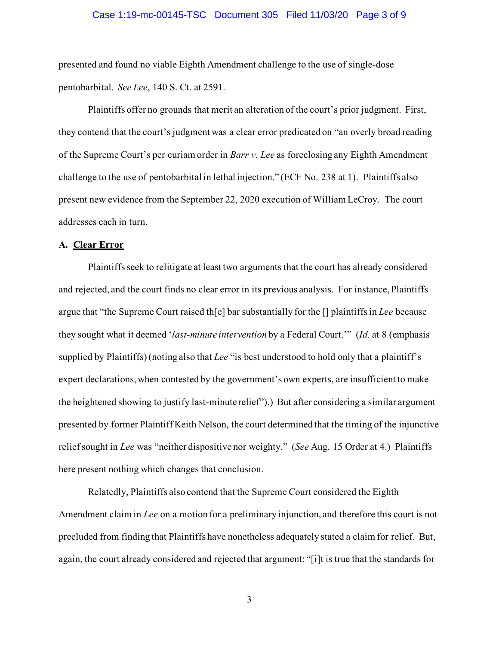#### Case 1:19-mc-00145-TSC Document 305 Filed 11/03/20 Page 3 of 9

presented and found no viable Eighth Amendment challenge to the use of single-dose pentobarbital. *See Lee*, 140 S. Ct. at 2591.

Plaintiffs offer no grounds that merit an alteration of the court's prior judgment. First, they contend that the court's judgment was a clear error predicated on "an overly broad reading of the Supreme Court's per curiam order in *Barr v. Lee* as foreclosing any Eighth Amendment challenge to the use of pentobarbital in lethal injection." (ECF No. 238 at 1). Plaintiffs also present new evidence from the September 22, 2020 execution of William LeCroy. The court addresses each in turn.

#### **A. Clear Error**

Plaintiffs seek to relitigate at least two arguments that the court has already considered and rejected, and the court finds no clear error in its previous analysis. For instance, Plaintiffs argue that "the Supreme Court raised th[e] bar substantially for the [] plaintiffs in *Lee* because they sought what it deemed '*last-minute intervention* by a Federal Court.'" (*Id.* at 8 (emphasis supplied by Plaintiffs) (noting also that *Lee* "is best understood to hold only that a plaintiff's expert declarations, when contested by the government's own experts, are insufficient to make the heightened showing to justify last-minute relief").) But after considering a similar argument presented by former Plaintiff Keith Nelson, the court determined that the timing of the injunctive relief sought in *Lee* was "neither dispositive nor weighty." (*See* Aug. 15 Order at 4.) Plaintiffs here present nothing which changes that conclusion.

Relatedly, Plaintiffs also contend that the Supreme Court considered the Eighth Amendment claim in *Lee* on a motion for a preliminary injunction, and therefore this court is not precluded from finding that Plaintiffs have nonetheless adequately stated a claim for relief. But, again, the court already considered and rejected that argument: "[i]t is true that the standards for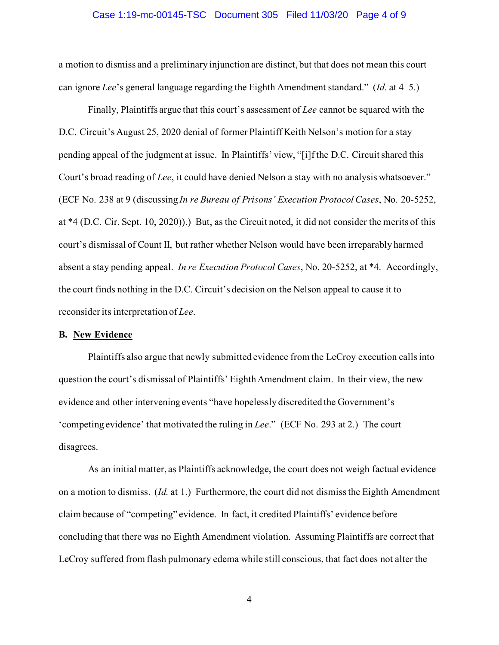#### Case 1:19-mc-00145-TSC Document 305 Filed 11/03/20 Page 4 of 9

a motion to dismiss and a preliminary injunction are distinct, but that does not mean this court can ignore *Lee*'s general language regarding the Eighth Amendment standard." (*Id.* at 4–5.)

Finally, Plaintiffs argue that this court's assessment of *Lee* cannot be squared with the D.C. Circuit's August 25, 2020 denial of former Plaintiff Keith Nelson's motion for a stay pending appeal of the judgment at issue. In Plaintiffs' view, "[i]f the D.C. Circuit shared this Court's broad reading of *Lee*, it could have denied Nelson a stay with no analysis whatsoever." (ECF No. 238 at 9 (discussing *In re Bureau of Prisons' Execution Protocol Cases*, No. 20-5252, at \*4 (D.C. Cir. Sept. 10, 2020)).) But, as the Circuit noted, it did not consider the merits of this court's dismissal of Count II, but rather whether Nelson would have been irreparably harmed absent a stay pending appeal. *In re Execution Protocol Cases*, No. 20-5252, at \*4. Accordingly, the court finds nothing in the D.C. Circuit's decision on the Nelson appeal to cause it to reconsider its interpretation of *Lee*.

## **B. New Evidence**

Plaintiffs also argue that newly submitted evidence from the LeCroy execution calls into question the court's dismissal of Plaintiffs' Eighth Amendment claim. In their view, the new evidence and other intervening events "have hopelessly discredited the Government's 'competing evidence' that motivated the ruling in *Lee*." (ECF No. 293 at 2.) The court disagrees.

As an initial matter, as Plaintiffs acknowledge, the court does not weigh factual evidence on a motion to dismiss. (*Id.* at 1.) Furthermore, the court did not dismiss the Eighth Amendment claim because of "competing" evidence. In fact, it credited Plaintiffs' evidence before concluding that there was no Eighth Amendment violation. Assuming Plaintiffs are correct that LeCroy suffered from flash pulmonary edema while still conscious, that fact does not alter the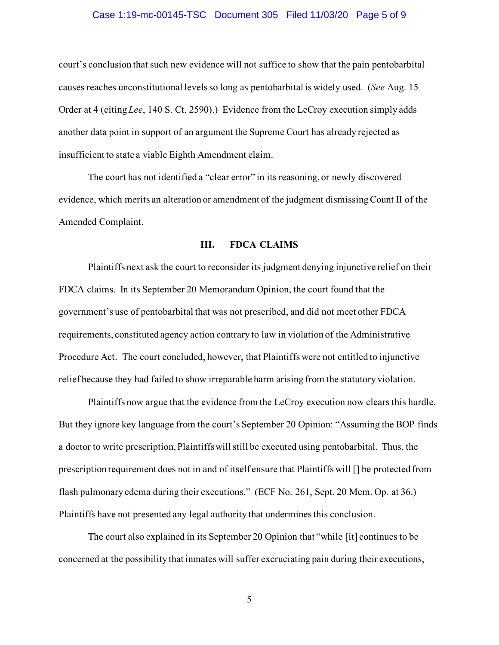## Case 1:19-mc-00145-TSC Document 305 Filed 11/03/20 Page 5 of 9

court's conclusion that such new evidence will not suffice to show that the pain pentobarbital causes reaches unconstitutional levelsso long as pentobarbital is widely used. (*See* Aug. 15 Order at 4 (citing *Lee*, 140 S. Ct. 2590).) Evidence from the LeCroy execution simply adds another data point in support of an argument the Supreme Court has already rejected as insufficient to state a viable Eighth Amendment claim.

The court has not identified a "clear error" in its reasoning, or newly discovered evidence, which merits an alteration or amendment of the judgment dismissing Count II of the Amended Complaint.

#### **III. FDCA CLAIMS**

Plaintiffs next ask the court to reconsider its judgment denying injunctive relief on their FDCA claims. In its September 20 Memorandum Opinion, the court found that the government's use of pentobarbital that was not prescribed, and did not meet other FDCA requirements, constituted agency action contrary to law in violation of the Administrative Procedure Act. The court concluded, however, that Plaintiffs were not entitled to injunctive relief because they had failed to show irreparable harm arising from the statutory violation.

Plaintiffs now argue that the evidence from the LeCroy execution now clears this hurdle. But they ignore key language from the court's September 20 Opinion: "Assuming the BOP finds a doctor to write prescription, Plaintiffs will still be executed using pentobarbital. Thus, the prescription requirement does not in and of itself ensure that Plaintiffs will [] be protected from flash pulmonary edema during their executions." (ECF No. 261, Sept. 20 Mem. Op. at 36.) Plaintiffs have not presented any legal authority that undermines this conclusion.

The court also explained in its September 20 Opinion that "while [it] continues to be concerned at the possibility that inmates will suffer excruciating pain during their executions,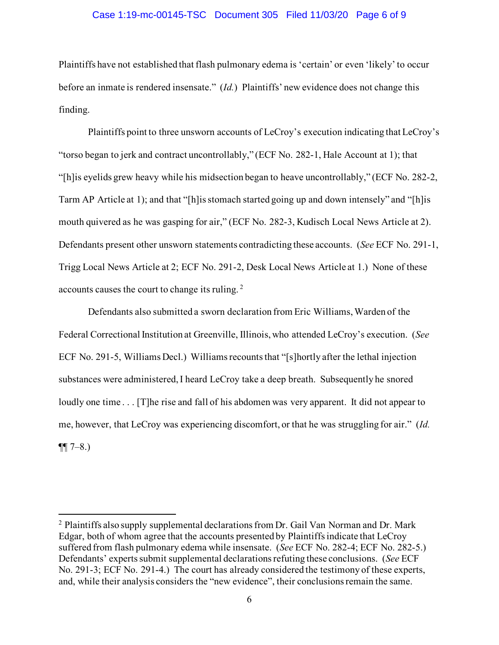## Case 1:19-mc-00145-TSC Document 305 Filed 11/03/20 Page 6 of 9

Plaintiffs have not established that flash pulmonary edema is 'certain' or even 'likely' to occur before an inmate is rendered insensate." (*Id.*) Plaintiffs' new evidence does not change this finding.

Plaintiffs point to three unsworn accounts of LeCroy's execution indicating that LeCroy's "torso began to jerk and contract uncontrollably," (ECF No. 282-1, Hale Account at 1); that "[h]is eyelids grew heavy while his midsection began to heave uncontrollably," (ECF No. 282-2, Tarm AP Article at 1); and that "[h]is stomach started going up and down intensely" and "[h]is mouth quivered as he was gasping for air," (ECF No. 282-3, Kudisch Local News Article at 2). Defendants present other unsworn statements contradicting these accounts. (*See* ECF No. 291-1, Trigg Local News Article at 2; ECF No. 291-2, Desk Local News Article at 1.) None of these accounts causes the court to change its ruling. [2](#page-5-0)

Defendants also submitted a sworn declaration from Eric Williams, Warden of the Federal Correctional Institution at Greenville, Illinois, who attended LeCroy's execution. (*See* ECF No. 291-5, Williams Decl.) Williams recounts that "[s]hortly after the lethal injection substances were administered, I heard LeCroy take a deep breath. Subsequently he snored loudly one time . . . [T] he rise and fall of his abdomen was very apparent. It did not appear to me, however, that LeCroy was experiencing discomfort, or that he was struggling for air." (*Id.*  $\P\P$  7–8.)

<span id="page-5-0"></span> $<sup>2</sup>$  Plaintiffs also supply supplemental declarations from Dr. Gail Van Norman and Dr. Mark</sup> Edgar, both of whom agree that the accounts presented by Plaintiffsindicate that LeCroy suffered from flash pulmonary edema while insensate. (*See* ECF No. 282-4; ECF No. 282-5.) Defendants' experts submit supplemental declarations refuting these conclusions. (*See* ECF No. 291-3; ECF No. 291-4.) The court has already considered the testimony of these experts, and, while their analysis considers the "new evidence", their conclusions remain the same.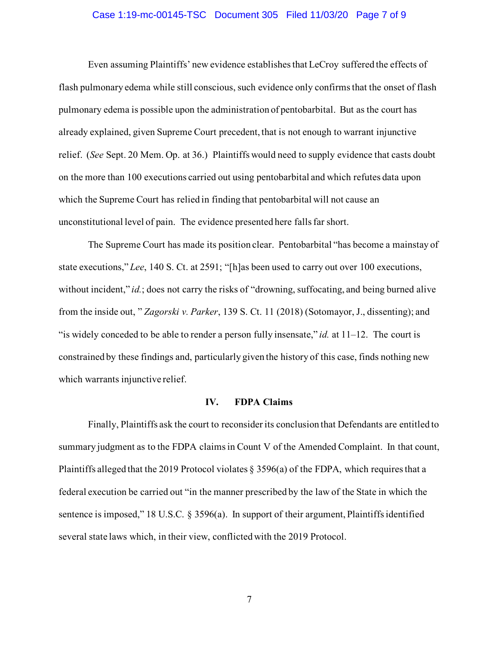## Case 1:19-mc-00145-TSC Document 305 Filed 11/03/20 Page 7 of 9

Even assuming Plaintiffs' new evidence establishesthat LeCroy suffered the effects of flash pulmonary edema while still conscious, such evidence only confirms that the onset of flash pulmonary edema is possible upon the administration of pentobarbital. But as the court has already explained, given Supreme Court precedent, that is not enough to warrant injunctive relief. (*See* Sept. 20 Mem. Op. at 36.) Plaintiffs would need to supply evidence that casts doubt on the more than 100 executions carried out using pentobarbital and which refutes data upon which the Supreme Court has relied in finding that pentobarbital will not cause an unconstitutional level of pain. The evidence presented here falls far short.

The Supreme Court has made its position clear. Pentobarbital "has become a mainstay of state executions," *Lee*, 140 S. Ct. at 2591; "[h]as been used to carry out over 100 executions, without incident," *id.*; does not carry the risks of "drowning, suffocating, and being burned alive from the inside out, " *Zagorski v. Parker*, 139 S. Ct. 11 (2018) (Sotomayor, J., dissenting); and "is widely conceded to be able to render a person fully insensate," *id.* at 11–12. The court is constrained by these findings and, particularly given the history of this case, finds nothing new which warrants injunctive relief.

#### **IV. FDPA Claims**

Finally, Plaintiffs ask the court to reconsider its conclusion that Defendants are entitled to summary judgment as to the FDPA claims in Count V of the Amended Complaint. In that count, Plaintiffs alleged that the 2019 Protocol violates § 3596(a) of the FDPA, which requires that a federal execution be carried out "in the manner prescribed by the law of the State in which the sentence is imposed," 18 U.S.C. § 3596(a). In support of their argument, Plaintiffs identified several state laws which, in their view, conflicted with the 2019 Protocol.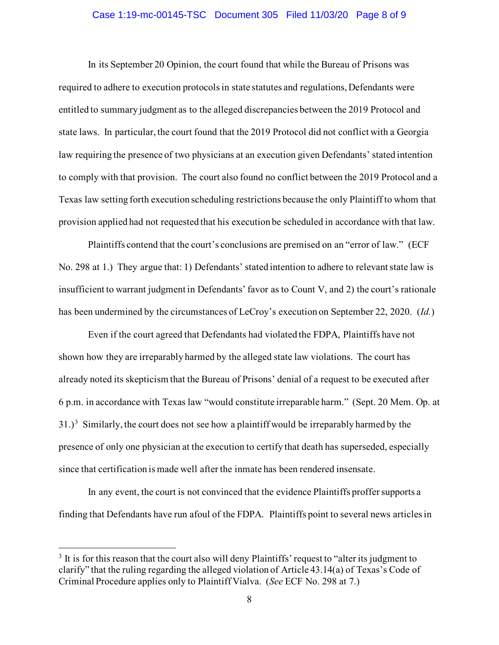## Case 1:19-mc-00145-TSC Document 305 Filed 11/03/20 Page 8 of 9

In its September 20 Opinion, the court found that while the Bureau of Prisons was required to adhere to execution protocols in state statutes and regulations, Defendants were entitled to summary judgment as to the alleged discrepancies between the 2019 Protocol and state laws. In particular, the court found that the 2019 Protocol did not conflict with a Georgia law requiring the presence of two physicians at an execution given Defendants' stated intention to comply with that provision. The court also found no conflict between the 2019 Protocol and a Texas law setting forth execution scheduling restrictions because the only Plaintiff to whom that provision applied had not requested that his execution be scheduled in accordance with that law.

Plaintiffs contend that the court's conclusions are premised on an "error of law." (ECF No. 298 at 1.) They argue that: 1) Defendants' stated intention to adhere to relevant state law is insufficient to warrant judgment in Defendants' favor as to Count V, and 2) the court's rationale has been undermined by the circumstances of LeCroy's execution on September 22, 2020. (*Id.*)

Even if the court agreed that Defendants had violated the FDPA, Plaintiffs have not shown how they are irreparably harmed by the alleged state law violations. The court has already noted its skepticism that the Bureau of Prisons' denial of a request to be executed after 6 p.m. in accordance with Texas law "would constitute irreparable harm." (Sept. 20 Mem. Op. at  $31.$  $31.$ <sup>3</sup> Similarly, the court does not see how a plaintiff would be irreparably harmed by the presence of only one physician at the execution to certify that death has superseded, especially since that certification is made well after the inmate has been rendered insensate.

In any event, the court is not convinced that the evidence Plaintiffs proffer supports a finding that Defendants have run afoul of the FDPA. Plaintiffs point to several news articles in

<span id="page-7-0"></span><sup>&</sup>lt;sup>3</sup> It is for this reason that the court also will deny Plaintiffs' request to "alter its judgment to" clarify" that the ruling regarding the alleged violation of Article 43.14(a) of Texas's Code of Criminal Procedure applies only to Plaintiff Vialva. (*See* ECF No. 298 at 7.)